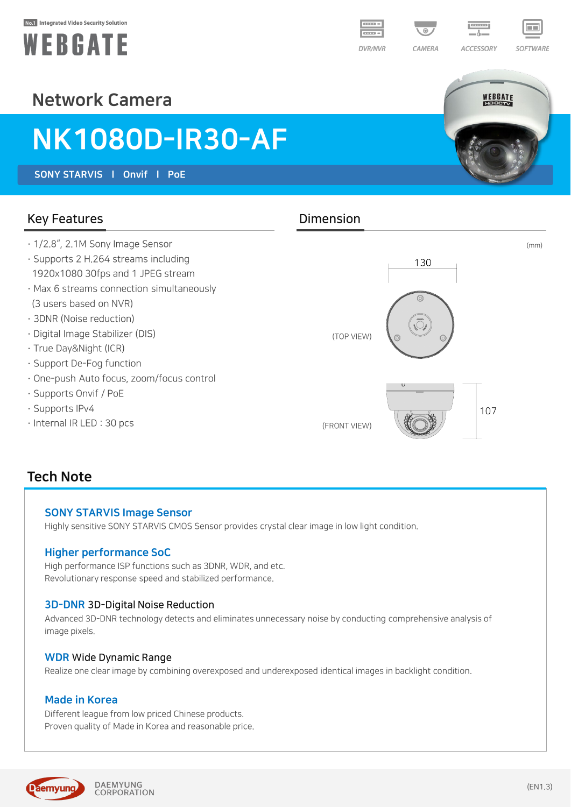#### No.1 Integrated Video Security Solution





SOFTWARE

WEBGATE

## Network Camera

# NK1080D-IR30-AF

SONY STARVIS l Onvif l PoE

#### Key Features **Dimension**

- · 1/2.8", 2.1M Sony Image Sensor
- · Supports 2 H.264 streams including 1920x1080 30fps and 1 JPEG stream
- · Max 6 streams connection simultaneously (3 users based on NVR)
- · 3DNR (Noise reduction)
- · Digital Image Stabilizer (DIS)
- · True Day&Night (ICR)
- · Support De-Fog function
- · One-push Auto focus, zoom/focus control
- · Supports Onvif / PoE
- · Supports IPv4
- · Internal IR LED : 30 pcs



### Tech Note

#### SONY STARVIS Image Sensor

Highly sensitive SONY STARVIS CMOS Sensor provides crystal clear image in low light condition.

#### Higher performance SoC

High performance ISP functions such as 3DNR, WDR, and etc. Revolutionary response speed and stabilized performance.

#### 3D-DNR 3D-Digital Noise Reduction

Advanced 3D-DNR technology detects and eliminates unnecessary noise by conducting comprehensive analysis of image pixels.

#### WDR Wide Dynamic Range

Realize one clear image by combining overexposed and underexposed identical images in backlight condition.

#### Made in Korea

Different league from low priced Chinese products. Proven quality of Made in Korea and reasonable price.